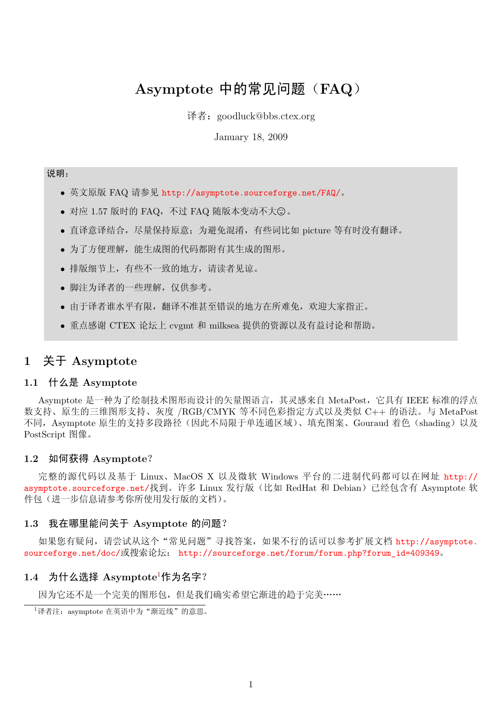# **Asymptote** 中的常见问题(**FAQ**)

译者:goodluck@bbs.ctex.org

January 18, 2009

# 说明:

- *•* 英文原版 FAQ 请参见 http://asymptote.sourceforge.net/FAQ/。
- 对应 1.57 版时的 FAQ, 不过 FAQ 随版本变动不大©。
- *•* 直译意译结合,尽量[保持原意;为避免混淆,有些词比如](http://asymptote.sourceforge.net/FAQ/) picture 等有时没有翻译。
- *•* 为了方便理解,能生成图的代码都附有其生成的图形。
- *•* 排版细节上,有些不一致的地方,请读者见谅。
- *•* 脚注为译者的一些理解,仅供参考。
- *•* 由于译者谁水平有限,翻译不准甚至错误的地方在所难免,欢迎大家指正。
- *•* 重点感谢 CTEX 论坛上 cvgmt 和 milksea 提供的资源以及有益讨论和帮助。

# **1** 关于 **Asymptote**

### **1.1** 什么是 **Asymptote**

Asymptote 是一种为了绘制技术图形而设计的矢量图语言,其灵感来自 MetaPost,它具有 IEEE 标准的浮点 数支持、原生的三维图形支持、灰度 /RGB/CMYK 等不同色彩指定方式以及类似 C++ 的语法。与 MetaPost 不同, Asymptote 原生的支持多段路径(因此不局限于单连通区域)、填充图案、Gouraud 着色(shading)以及 PostScript 图像。

#### **1.2** 如何获得 **Asymptote**?

完整的源代码以及基于 Linux、MacOS X 以及微软 Windows 平台的二进制代码都可以在网址 http:// asymptote.sourceforge.net/找到。许多 Linux 发行版(比如 RedHat 和 Debian)已经包含有 Asymptote 软 件包(进一步信息请参考你所使用发行版的文档)。

#### **1.3** 我在哪里能问关于 **Asymptote** 的问题?

[如果您有疑问,请尝试从这](http://asymptote.sourceforge.net/)个"常见问题"寻找答案,如果不行的话可以参考扩展文档 http://asymptote. sourceforge.net/doc/或搜索论坛: http://sourceforge.net/forum/forum.php?forum\_id=409349。

### **1.4** 为什么选择 **Asymptote**<sup>1</sup>作为名字?

[因为它还不是一个完美](http://asymptote.sourceforge.net/doc/)的图形包,[但是我们确实希望它渐进的趋于完美……](http://sourceforge.net/forum/forum.php?forum_id=409349)

<span id="page-0-0"></span> $1$ 译者注: asymptote 在英语中为"[渐近](#page-0-0)线"的意思。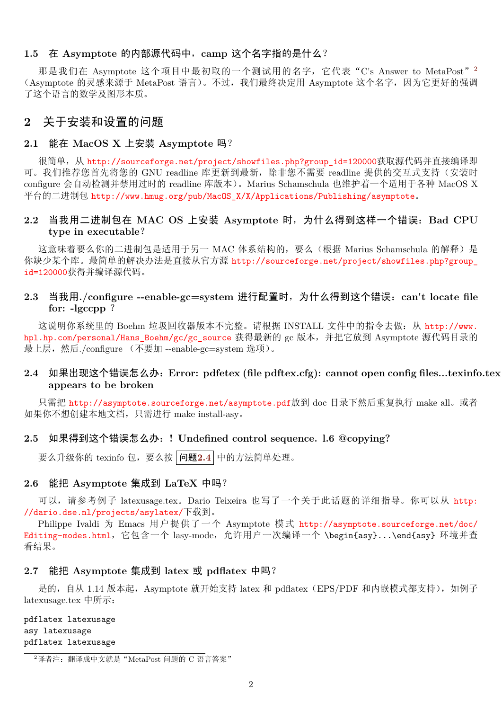#### **1.5** 在 **Asymptote** 的内部源代码中,**camp** 这个名字指的是什么?

那是我们在 Asymptote 这个项目中最初取的一个测试用的名字, 它代表"C's Answer to MetaPost"<sup>2</sup> (Asymptote 的灵感来源于 MetaPost 语言)。不过, 我们最终决定用 Asymptote 这个名字, 因为它更好的强调 了这个语言的数学及图形本质。

# **2** 关于安装和设置的问题

#### **2.1** 能在 **MacOS X** 上安装 **Asymptote** 吗?

很简单,从 http://sourceforge.net/project/showfiles.php?group\_id=120000获取源代码并直接编译即 可。我们推荐您首先将您的 GNU readline 库更新到最新,除非您不需要 readline 提供的交互式支持(安装时 configure 会自动检测并禁用过时的 readline 库版本)。Marius Schamschula 也维护着一个适用于各种 MacOS X 平台的二进制包 [http://www.hmug.org/pub/MacOS\\_X/X/Applications/Publishing/as](http://sourceforge.net/project/showfiles.php?group_id=120000)ymptote。

## **2.2** 当我用二进制包在 **MAC OS** 上安装 **Asymptote** 时,为什么得到这样一个错误:**Bad CPU type in [executable](http://www.hmug.org/pub/MacOS_X/X/Applications/Publishing/asymptote)**?

这意味着要么你的二进制包是适用于另一 MAC 体系结构的, 要么(根据 Marius Schamschula 的解释)是 你缺少某个库。最简单的解决办法是直接从官方源 http://sourceforge.net/project/showfiles.php?group\_ id=120000获得并编译源代码。

### **2.3** 当我用**./configure --enable-gc=system** 进行配置时,为什么得到这个错误:**[can](http://sourceforge.net/project/showfiles.php?group_id=120000)'[t locate file](http://sourceforge.net/project/showfiles.php?group_id=120000) [for:](http://sourceforge.net/project/showfiles.php?group_id=120000) -lgccpp** ?

这说明你系统里的 Boehm 垃圾回收器版本不完整。请根据 INSTALL 文件中的指令去做: 从 http://www. hpl.hp.com/personal/Hans\_Boehm/gc/gc\_source 获得最新的 gc 版本,并把它放到 Asymptote 源代码目录的 最上层,然后./configure (不要加 --enable-gc=system 选项)。

### **2.4** 如果出现这个错误怎么办:**Error: pdfetex (file pdftex.cfg): cannot open config [files...texinfo](http://www.hpl.hp.com/personal/Hans_Boehm/gc/gc_source).tex [appears to be broken](http://www.hpl.hp.com/personal/Hans_Boehm/gc/gc_source)**

<span id="page-1-0"></span>只需把 http://asymptote.sourceforge.net/asymptote.pdf放到 doc 目录下然后重复执行 make all。或者 如果你不想创建本地文档,只需进行 make install-asy。

#### **2.5** 如果得到这个错误怎么办:**[! Undefined control sequ](http://asymptote.sourceforge.net/asymptote.pdf)ence. l.6 @copying?**

要么升级你的 texinfo 包,要么按 问题**2.4** 中的方法简单处理。

# **2.6** 能把 **Asymptote** 集成到 **LaTeX** 中吗?

可以, 请参考例子 latexusage.tex。D[ario](#page-1-0) Teixeira 也写了一个关于此话题的详细指导。你可以从 http: //dario.dse.nl/projects/asylatex/下载到。

Philippe Ivaldi 为 Emacs 用户提供了一个 Asymptote 模式 http://asymptote.sourceforge.net/doc/ Editing-modes.html, 它包含一个 lasy-mode, 允许用户一次编译一个 \begin{asy}...\end{asy} 环境并查 看结果。

#### **2.7** 能把 **[Asympto](http://asymptote.sourceforge.net/doc/Editing-modes.html)te** 集成到 **latex** 或 **pdflatex** 中吗?

是的, 自从 1.14 版本起, Asymptote 就开始支持 latex 和 pdflatex (EPS/PDF 和内嵌模式都支持), 如例子 latexusage.tex 中所示:

pdflatex latexusage asy latexusage pdflatex latexusage

 $2$ 译者注: 翻译成中文就是"MetaPost 问题的 C 语言答案"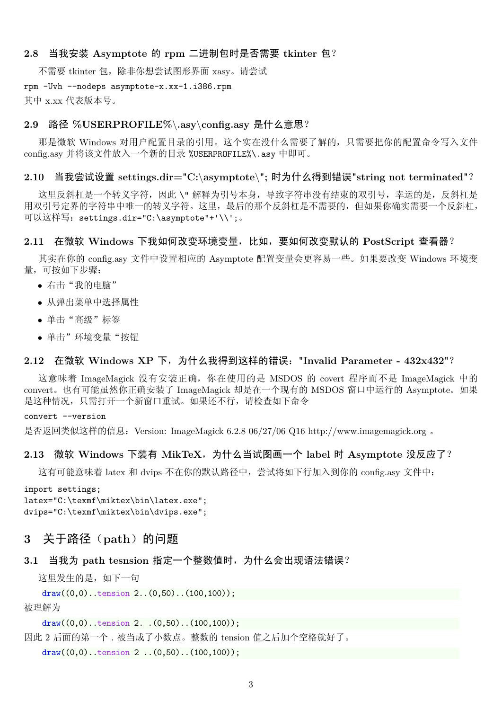#### **2.8** 当我安装 **Asymptote** 的 **rpm** 二进制包时是否需要 **tkinter** 包?

不需要 tkinter 包, 除非你想尝试图形界面 xasy。请尝试

rpm -Uvh --nodeps asymptote-x.xx-1.i386.rpm

其中 x.xx 代表版本号。

### **2.9** 路径 **%USERPROFILE%***\***.asy***\***config.asy** 是什么意思?

那是微软 Windows 对用户配置目录的引用。这个实在没什么需要了解的,只需要把你的配置命令写入文件 config.asy 并将该文件放入一个新的目录 %USERPROFILE%\.asy 中即可。

#### **2.10** 当我尝试设置 **settings.dir="C:***\***asymptote***\***";** 时为什么得到错误**"string not terminated"**?

这里反斜杠是一个转义字符,因此 \"解释为引号本身,导致字符串没有结束的双引号,幸运的是,反斜杠是 用双引号定界的字符串中唯一的转义字符。这里,最后的那个反斜杠是不需要的,但如果你确实需要一个反斜杠, 可以这样写:settings.dir="C:\asymptote"+'\\';。

#### **2.11** 在微软 **Windows** 下我如何改变环境变量,比如,要如何改变默认的 **PostScript** 查看器?

其实在你的 config.asy 文件中设置相应的 Asymptote 配置变量会更容易一些。如果要改变 Windows 环境变 量,可按如下步骤:

- *•* 右击"我的电脑"
- *•* 从弹出菜单中选择属性
- *•* 单击"高级"标签
- *•* 单击"环境变量"按钮

### **2.12** 在微软 **Windows XP** 下,为什么我得到这样的错误:**"Invalid Parameter - 432x432"**?

这意味着 ImageMagick 没有安装正确, 你在使用的是 MSDOS 的 covert 程序而不是 ImageMagick 中的 convert。也有可能虽然你正确安装了 ImageMagick 却是在一个现有的 MSDOS 窗口中运行的 Asymptote。如果 是这种情况,只需打开一个新窗口重试。如果还不行,请检查如下命令

#### convert --version

是否返回类似这样的信息:Version: ImageMagick 6.2.8 06/27/06 Q16 http://www.imagemagick.org 。

### 2.13 微软 Windows 下装有 MikTeX,为什么当试图画一个 label 时 Asymptote 没反应了?

这有可能意味着 latex 和 dvips 不在你的默认路径中,尝试将如下行加入到你的 config.asy 文件中:

```
import settings;
latex="C:\texmf\miktex\bin\latex.exe";
dvips="C:\texmf\miktex\bin\dvips.exe";
```
# **3** 关于路径 (path) 的问题

#### **3.1** 当我为 **path tesnsion** 指定一个整数值时,为什么会出现语法错误?

这里发生的是,如下一句

```
draw((0,0)..tension 2...(0,50)..(100,100);
```
被理解为

```
draw((0,0)..tension 2. (0,50)..(100,100);
```
因此 2 后面的第一个 . 被当成了小数点。整数的 tension 值之后加个空格就好了。

draw $((0,0)$ ..tension 2 .. $(0,50)$ .. $(100,100)$ ;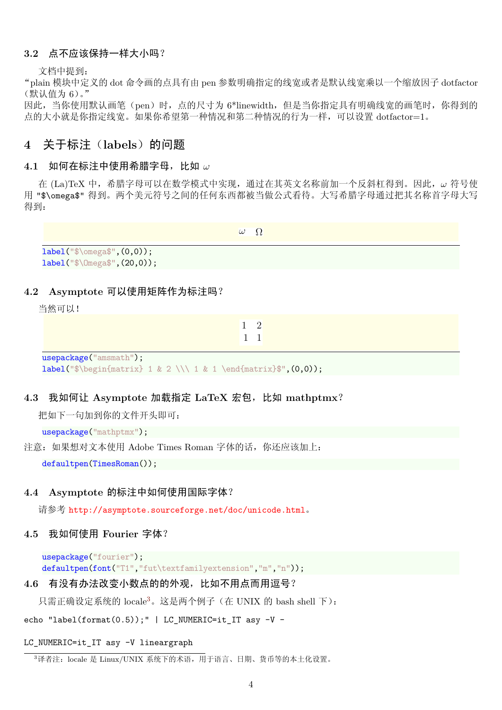#### **3.2** 点不应该保持一样大小吗?

文档中提到:

"plain 模块中定义的 dot 命令画的点具有由 pen 参数明确指定的线宽或者是默认线宽乘以一个缩放因子 dotfactor (默认值为 6)。"

因此,当你使用默认画笔(pen)时,点的尺寸为 6\*linewidth,但是当你指定具有明确线宽的画笔时,你得到的 点的大小就是你指定线宽。如果你希望第一种情况和第二种情况的行为一样,可以设置 dotfactor=1。

# 4 关于标注 (labels) 的问题

#### **4.1** 如何在标注中使用希腊字母,比如 *ω*

在 (La)TeX 中,希腊字母可以在数学模式中实现,通过在其英文名称前加一个反斜杠得到。因此,*ω* 符号使 用 "\$\omega\$" 得到。两个美元符号之间的任何东西都被当做公式看待。大写希腊字母通过把其名称首字母大写 得到:

 $\omega$  Ω

label("\$\omega\$",(0,0)); label("\$\Omega\$",(20,0));

#### **4.2 Asymptote** 可以使用矩阵作为标注吗?

当然可以!

1 2 1 1

usepackage("amsmath"); label("\$\begin{matrix} 1 & 2 \\\ 1 & 1 \end{matrix}\$",  $(0,0)$ );

#### **4.3** 我如何让 **Asymptote** 加载指定 **LaTeX** 宏包,比如 **mathptmx**?

把如下一句加到你的文件开头即可:

usepackage("mathptmx");

注意: 如果想对文本使用 Adobe Times Roman 字体的话, 你还应该加上:

defaultpen(TimesRoman());

#### **4.4 Asymptote** 的标注中如何使用国际字体?

请参考 http://asymptote.sourceforge.net/doc/unicode.html。

#### **4.5** 我如何使用 **Fourier** 字体?

```
usepackage("fourier");
defaultpen(font("T1","fut\textfamilyextension","m","n"));
```
#### **4.6** 有没有办法改变小数点的的外观,比如不用点而用逗号?

只需正确设定系统的 locale3。这是两个例子(在 UNIX 的 bash shell 下):

echo "label(format(0.5));" | LC\_NUMERIC=it\_IT asy -V -

#### LC\_NUMERIC=it\_IT asy -V l[in](#page-3-0)eargraph

<span id="page-3-0"></span> $3$ 译者注: locale 是 Linux/UNIX 系统下的术语, 用于语言、日期、货币等的本土化设置。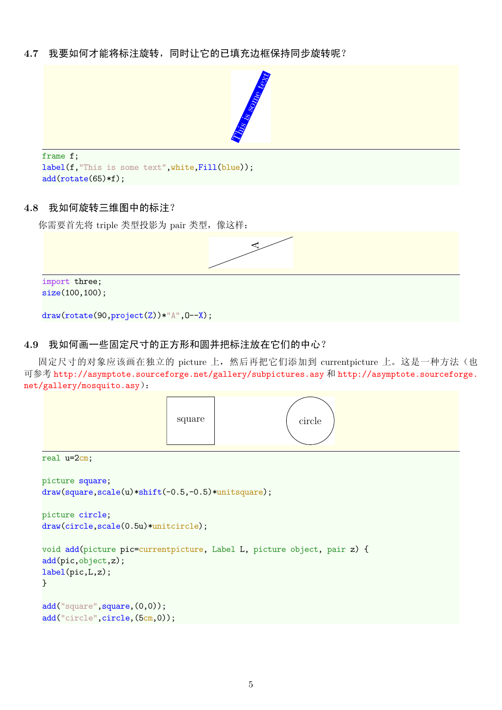**4.7** 我要如何才能将标注旋转,同时让它的已填充边框保持同步旋转呢?



```
frame f;
label(f, "This is some text", white, Fill(blue));
add(rotate(65)*f);
```
### **4.8** 我如何旋转三维图中的标注?

你需要首先将 triple 类型投影为 pair 类型, 像这样:



# **4.9** 我如何画一些固定尺寸的正方形和圆并把标注放在它们的中心?

固定尺寸的对象应该画在独立的 picture 上,然后再把它们添加到 currentpicture 上。这是一种方法(也 可参考 http://asymptote.sourceforge.net/gallery/subpictures.asy 和 http://asymptote.sourceforge. net/gallery/mosquito.asy):

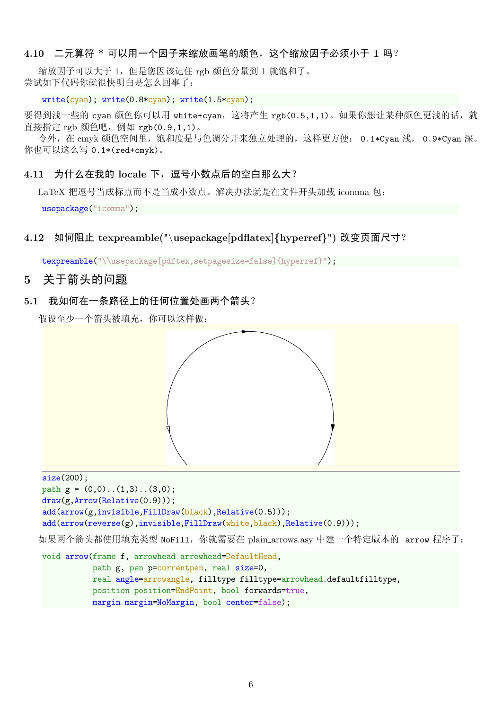### **4.10** 二元算符 **\*** 可以用一个因子来缩放画笔的颜色,这个缩放因子必须小于 **1** 吗?

缩放因子可以大于 1,但是您因该记住 rgb 颜色分量到 1 就饱和了。 尝试如下代码你就很快明白是怎么回事了:

#### write(cyan); write(0.8\*cyan); write(1.5\*cyan);

要得到浅一些的 cyan 颜色你可以用 white+cyan, 这将产生 rgb(0.5,1,1)。如果你想让某种颜色更浅的话, 就 直接指定 rgb 颜色吧, 例如 rgb(0.9,1,1)。

令外, 在 cmyk 颜色空间里, 饱和度是与色调分开来独立处理的, 这样更方便: 0.1\*Cyan 浅, 0.9\*Cyan 深。 你也可以这么写 0.1\*(red+cmyk)。

### 4.11 为什么在我的 locale 下, 逗号小数点后的空白那么大?

LaTeX 把逗号当成标点而不是当成小数点。解决办法就是在文件开头加载 icomma 包:

usepackage("icomma");

## **4.12** 如何阻止 **texpreamble("***\***usepackage[pdflatex]***{***hyperref***}***")** 改变页面尺寸?

texpreamble("\\usepackage[pdftex,setpagesize=false]{hyperref}");

## **5** 关于箭头的问题

#### **5.1** 我如何在一条路径上的任何位置处画两个箭头?

假设至少一个箭头被填充,你可以这样做:



size(200); path  $g = (0,0)$ .. $(1,3)$ .. $(3,0)$ ; draw(g,Arrow(Relative(0.9))); add(arrow(g,invisible,FillDraw(black),Relative(0.5))); add(arrow(reverse(g),invisible,FillDraw(white,black),Relative(0.9)));

如果两个箭头都使用填充类型 NoFill,你就需要在 plain arrows.asy 中建一个特定版本的 arrow 程序了:

void arrow(frame f, arrowhead arrowhead=DefaultHead, path g, pen p=currentpen, real size=0, real angle=arrowangle, filltype filltype=arrowhead.defaultfilltype, position position=EndPoint, bool forwards=true, margin margin=NoMargin, bool center=false);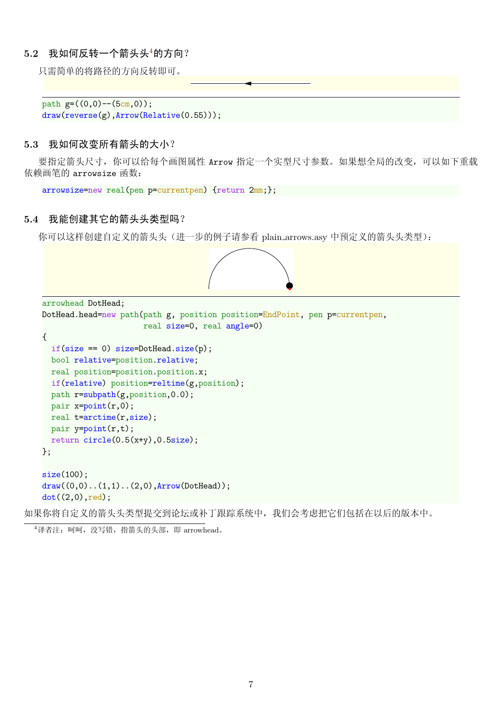#### **5.2** 我如何反转一个箭头头4的方向?

只需简单的将路径的方向反转即可。

```
path g=((0,0)-((5cm,0));draw(reverse(g),Arrow(Relative(0.55)));
```
#### **5.3** 我如何改变所有箭头的大小?

要指定箭头尺寸,你可以给每个画图属性 Arrow 指定一个实型尺寸参数。如果想全局的改变,可以如下重载 依赖画笔的 arrowsize 函数:

```
arrowsize=new real(pen p=currentpen) {return 2mm;};
```
#### **5.4** 我能创建其它的箭头头类型吗?

你可以这样创建自定义的箭头头(进一步的例子请参看 plain arrows.asy 中预定义的箭头头类型):



如果你将自定义的箭头头类型提交到论坛或补丁跟踪系统中,我们会考虑把它们包括在以后的版本中。

 $4$ 译者注: 呵呵, 没写错, 指箭头的头部, 即  $arrowhead$ .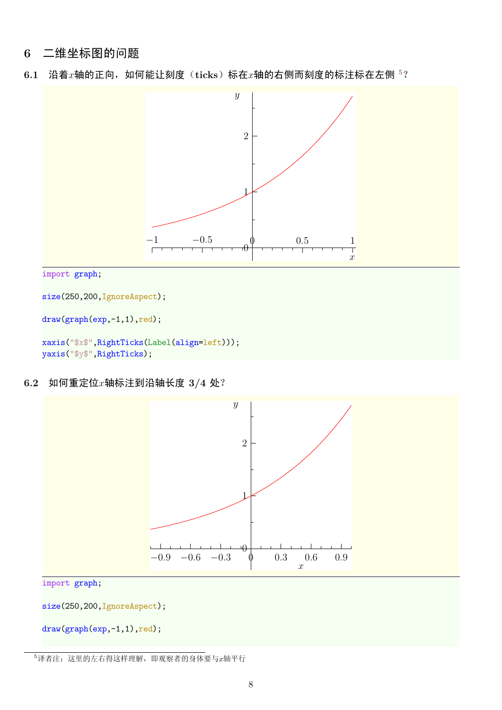# **6** 二维坐标图的问题

6.1 沿着 $x$ 轴的正向, 如何能让刻度(ticks)标在 $x$ 轴的右侧而刻度的标注标在左侧 <sup>5</sup>?



```
size(250,200,IgnoreAspect);
```

```
draw(graph(exp,-1,1),red);
```

```
xaxis("$x$",RightTicks(Label(align=left)));
yaxis("$y$",RightTicks);
```
**6.2** 如何重定位*x*轴标注到沿轴长度 **3/4** 处?



import graph;

size(250,200,IgnoreAspect);

```
draw(graph(exp,-1,1),red);
```
<sup>5</sup>译者注:这里的左右得这样理解,即观察者的身体要与*x*轴平行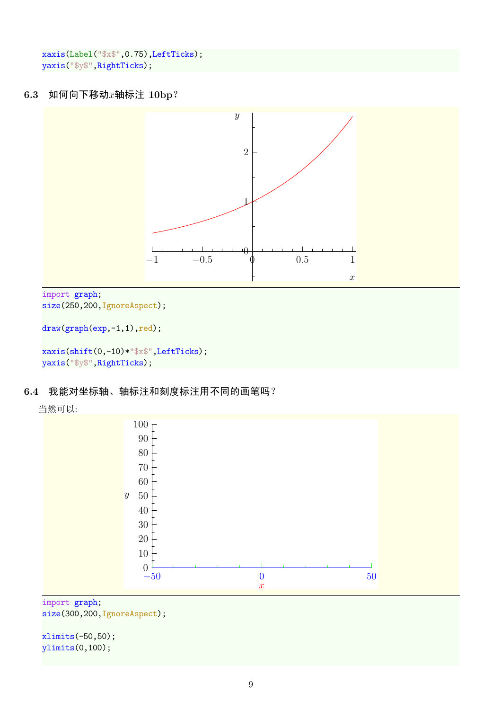```
xaxis(Label("$x$",0.75),LeftTicks);
yaxis("$y$",RightTicks);
```
# **6.3** 如何向下移动*x*轴标注 **10bp**?



```
import graph;
size(250,200, IgnoreAspect);
```

```
draw(graph(exp,-1,1),red);
```

```
xaxis(shift(0,-10)*"$x$",LeftTicks);
yaxis("$y$",RightTicks);
```
# **6.4** 我能对坐标轴、轴标注和刻度标注用不同的画笔吗?





#### import graph; size(300,200, IgnoreAspect);

xlimits(-50,50); ylimits(0,100);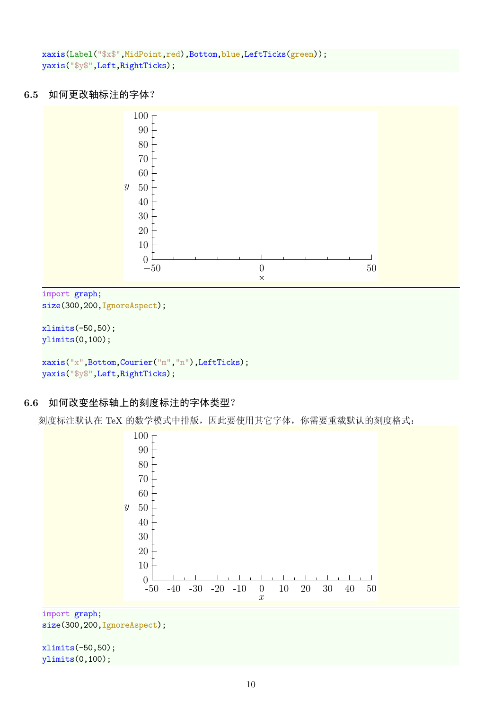```
xaxis(Label("$x$",MidPoint,red),Bottom,blue,LeftTicks(green));
yaxis("$y$",Left,RightTicks);
```
## **6.5** 如何更改轴标注的字体?



import graph;

```
size(300,200, IgnoreAspect);
```

```
xlimits(-50,50);
ylimits(0,100);
xaxis("x",Bottom,Courier("m","n"),LeftTicks);
yaxis("$y$",Left,RightTicks);
```
# **6.6** 如何改变坐标轴上的刻度标注的字体类型?

刻度标注默认在 TeX 的数学模式中排版,因此要使用其它字体,你需要重载默认的刻度格式:



size(300,200, IgnoreAspect);

xlimits(-50,50); ylimits(0,100);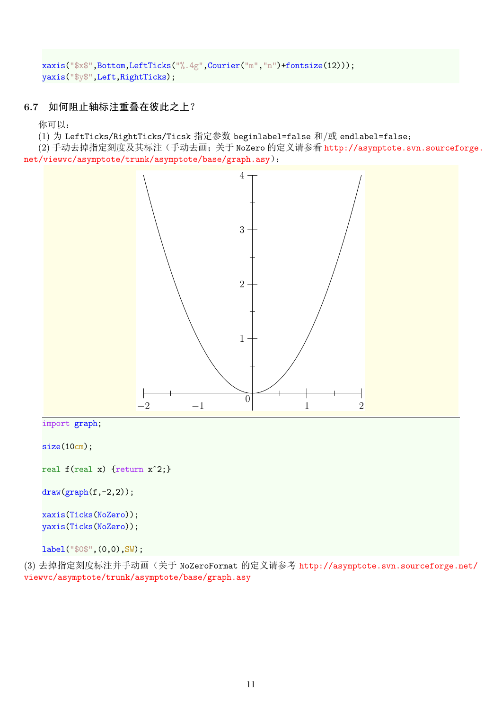```
xaxis("$x$",Bottom,LeftTicks("%.4g",Courier("m","n")+fontsize(12)));
yaxis("$y$",Left,RightTicks);
```
# **6.7** 如何阻止轴标注重叠在彼此之上?

你可以:

(1) 为 LeftTicks/RightTicks/Ticsk 指定参数 beginlabel=false 和/或 endlabel=false;

(2) 手动去掉指定刻度及其标注(手动去画;关于 NoZero 的定义请参看 http://asymptote.svn.sourceforge. net/viewvc/asymptote/trunk/asymptote/base/graph.asy):



(3) 去掉指定刻度标注并手动画(关于 NoZeroFormat 的定义请参考 http://asymptote.svn.sourceforge.net/ viewvc/asymptote/trunk/asymptote/base/graph.asy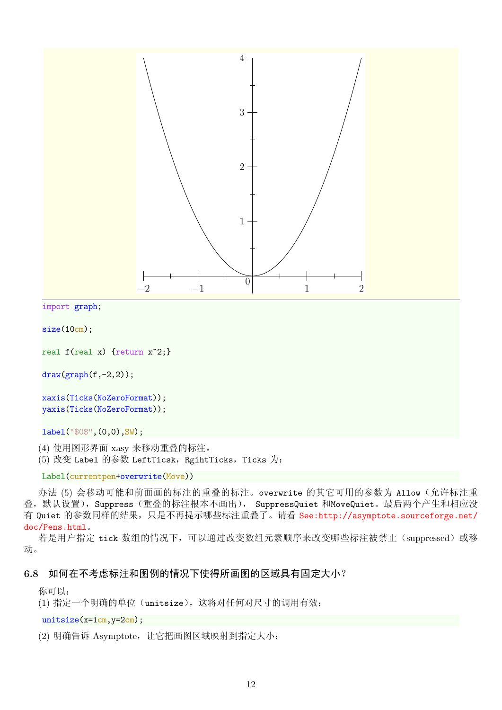

```
import graph;
```

```
size(10cm);
```

```
real f(real x) {return x^2;}
```

```
draw(graph(f,-2,2));
```

```
xaxis(Ticks(NoZeroFormat));
yaxis(Ticks(NoZeroFormat));
```
label("\$0\$",(0,0),SW);

(4) 使用图形界面 xasy 来移动重叠的标注。

(5) 改变 Label 的参数 LeftTicsk, RgihtTicks, Ticks 为:

```
Label(currentpen+overwrite(Move))
```
办法 (5) 会移动可能和前面画的标注的重叠的标注。overwrite 的其它可用的参数为 Allow (允许标注重 叠,默认设置), Suppress (重叠的标注根本不画出), SuppressQuiet 和MoveQuiet。最后两个产生和相应没 有 Quiet 的参数同样的结果, 只是不再提示哪些标注重叠了。请看 See:http://asymptote.sourceforge.net/ doc/Pens.html。

若是用户指定 tick 数组的情况下,可以通过改变数组元素顺序来改变哪些标注被禁止(suppressed)或移 动。

# **6.8** [如何在不](See: http://asymptote.sourceforge.net/doc/Pens.html)考虑标注和图例的情况下使得所画图的区域具有固定大小?

你可以:

(1) 指定一个明确的单位(unitsize), 这将对任何对尺寸的调用有效:

#### unitsize(x=1cm,y=2cm);

(2) 明确告诉 Asymptote, 让它把画图区域映射到指定大小: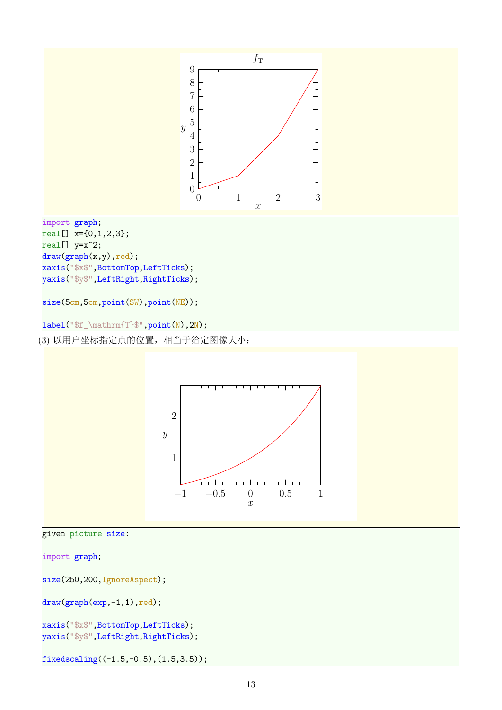



```
import graph;
```
size(250,200,IgnoreAspect);

```
draw(graph(exp,-1,1),red);
```

```
xaxis("$x$",BottomTop,LeftTicks);
yaxis("$y$",LeftRight,RightTicks);
```
1

 $\overline{y}$ 

fixedscaling( $(-1.5,-0.5)$ , $(1.5,3.5)$ );

 $-1$   $-0.5$  0 0.5 1  $\boldsymbol{x}$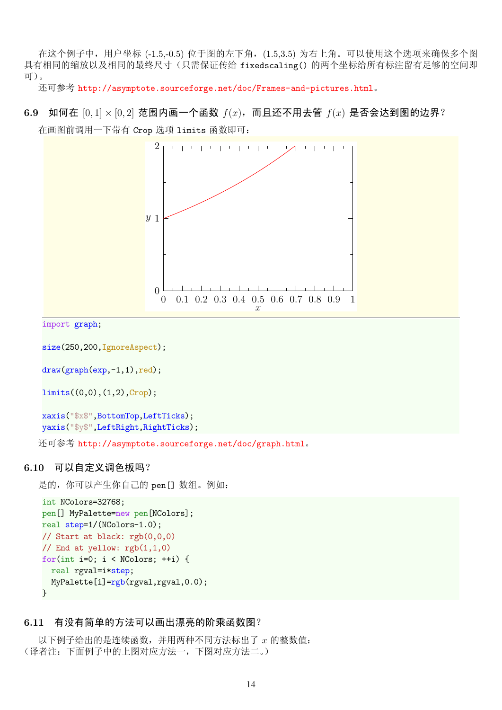在这个例子中,用户坐标 (-1.5,-0.5) 位于图的左下角, (1.5,3.5) 为右上角。可以使用这个选项来确保多个图 具有相同的缩放以及相同的最终尺寸(只需保证传给 fixedscaling() 的两个坐标给所有标注留有足够的空间即 可)。

还可参考 http://asymptote.sourceforge.net/doc/Frames-and-pictures.html。

**6.9** 如何在 [0*,* 1] *×* [0*,* 2] 范围内画一个函数 *f*(*x*),而且还不用去管 *f*(*x*) 是否会达到图的边界? 在画图前[调用一下带有](http://asymptote.sourceforge.net/doc/Frames-and-pictures.html) Crop 选项 limits 函数即可:



```
import graph;
```

```
size(250,200,IgnoreAspect);
```

```
draw(graph(exp,-1,1),red);
```

```
limits((0,0),(1,2),Crop);
```

```
xaxis("$x$",BottomTop,LeftTicks);
yaxis("$y$",LeftRight,RightTicks);
```
还可参考 http://asymptote.sourceforge.net/doc/graph.html。

#### **6.10** 可以自定义调色板吗?

是的, 你[可以产生你自己的](http://asymptote.sourceforge.net/doc/graph.html) pen [] 数组。例如:

```
int NColors=32768;
pen[] MyPalette=new pen[NColors];
real step=1/(NColors-1.0);
// Start at black: rgb(0,0,0)
// End at yellow: rgb(1,1,0)
for(int i=0; i < NColors; ++i) {
 real rgval=i*step;
 MyPalette[i]=rgb(rgval,rgval,0.0);
}
```
### **6.11** 有没有简单的方法可以画出漂亮的阶乘函数图?

以下例子给出的是连续函数,并用两种不同方法标出了 *x* 的整数值: (译者注:下面例子中的上图对应方法一,下图对应方法二。)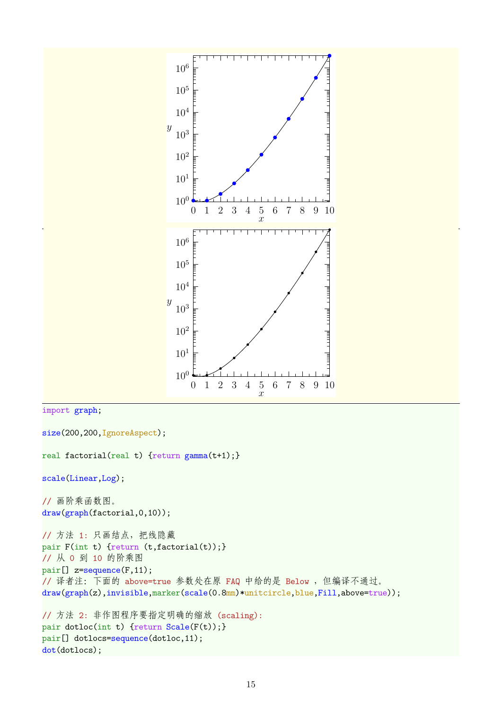

```
import graph;
```

```
size(200,200,IgnoreAspect);
```

```
real factorial(real t) {return gamma(t+1);}
```

```
scale(Linear,Log);
```
// 画阶乘函数图。 draw(graph(factorial,0,10));

// 方法 1: 只画结点,把线隐藏 pair F(int t) {return (t,factorial(t));} // 从 0 到 10 的阶乘图 pair[] z=sequence(F,11); // 译者注: 下面的 above=true 参数处在原 FAQ 中给的是 Below, 但编译不通过。 draw(graph(z),invisible,marker(scale(0.8mm)\*unitcircle,blue,Fill,above=true));

```
// 方法 2: 非作图程序要指定明确的缩放 (scaling):
pair dotloc(int t) {return Scale(F(t));}
pair[] dotlocs=sequence(dotloc,11);
dot(dotlocs);
```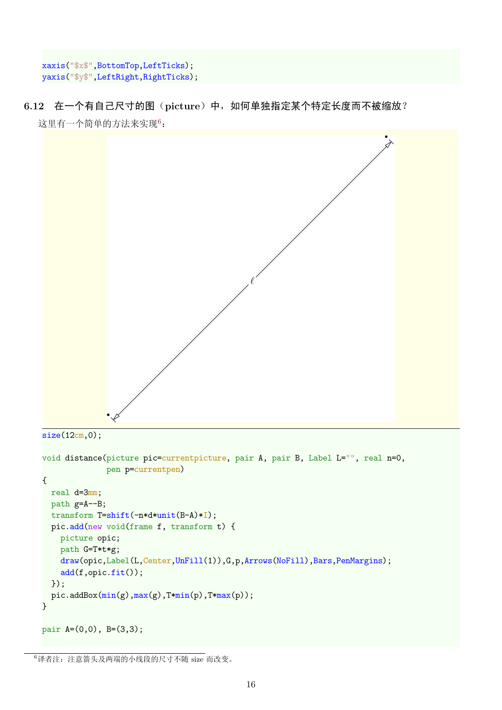```
xaxis("$x$",BottomTop,LeftTicks);
yaxis("$y$",LeftRight,RightTicks);
```
**6.12** 在一个有自己尺寸的图(**picture**)中,如何单独指定某个特定长度而不被缩放? 这里有一个简单的方法来实现6:



```
size(12cm,0);
```

```
void distance(picture pic=currentpicture, pair A, pair B, Label L="", real n=0,
              pen p=currentpen)
{
 real d=3mm;
 path g=A--B;
  transform T=shift(-n*d*unit(B-A)*I);
  pic.add(new void(frame f, transform t) {
   picture opic;
    path G=T*t*g;
    draw(opic,Label(L,Center,UnFill(1)),G,p,Arrows(NoFill),Bars,PenMargins);
    add(f,opic.fit());
  });
  pic.addBox(min(g),max(g),T*min(p),T*max(p));
}
pair A=(0,0), B=(3,3);
```
<sup>6</sup>译者注:注意箭头及两端的小线段的尺寸不随 size 而改变。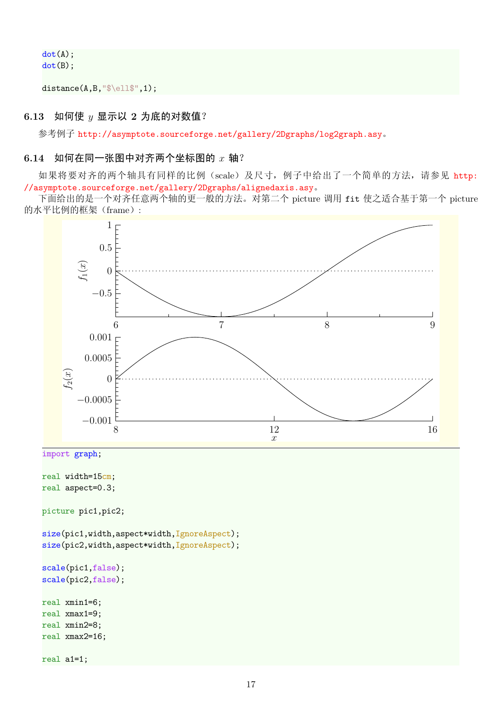dot(A); dot(B);

distance(A,B,"\$\ell\$",1);

#### **6.13** 如何使 *y* 显示以 **2** 为底的对数值?

参考例子 http://asymptote.sourceforge.net/gallery/2Dgraphs/log2graph.asy。

#### **6.14** 如何在同一张图中对齐两个坐标图的 *x* 轴?

如果将要对齐的两个轴具有同样的比例(scale[\)及尺寸,例子中给出了一个简单的](http://asymptote.sourceforge.net/gallery/2Dgraphs/log2graph.asy)方法,请参见 http: //asymptote.sourceforge.net/gallery/2Dgraphs/alignedaxis.asy。

下面给出的是一个对齐任意两个轴的更一般的方法。对第二个 picture 调用 fit 使之适合基于第一个 picture 的水平比例的框架(frame):

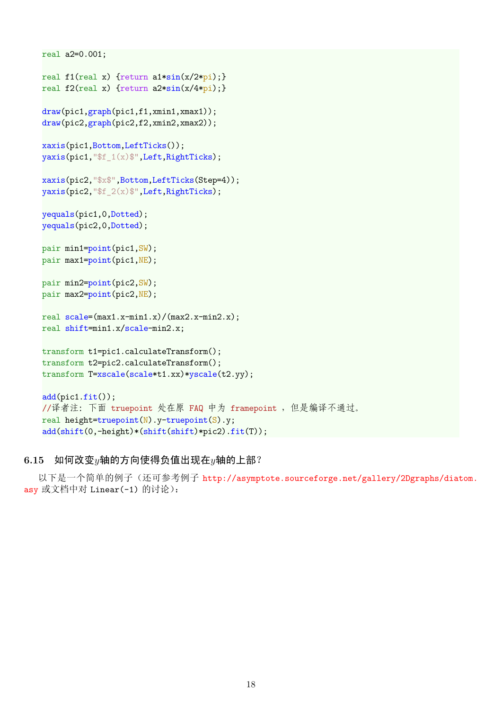```
real a2=0.001;
real f1(real x) {return a1*sin(x/2*pi);}
real f2(real x) {return a2*sin(x/4*pi);}
draw(pic1,graph(pic1,f1,xmin1,xmax1));
draw(pic2,graph(pic2,f2,xmin2,xmax2));
xaxis(pic1,Bottom,LeftTicks());
yaxis(pic1,"$f_1(x)$",Left,RightTicks);
xaxis(pic2,"$x$",Bottom,LeftTicks(Step=4));
yaxis(pic2,"$f_2(x)$",Left,RightTicks);
yequals(pic1,0,Dotted);
yequals(pic2,0,Dotted);
pair min1=point(pic1,SW);
pair max1=point(pic1,NE);
pair min2=point(pic2,SW);
pair max2=point(pic2,NE);
real scale=(max1.x-min1.x)/(max2.x-min2.x);
real shift=min1.x/scale-min2.x;
transform t1=pic1.calculateTransform();
transform t2=pic2.calculateTransform();
transform T=xscale(scale*t1.xx)*yscale(t2.yy);
add(pic1.fit());
//译者注: 下面 truepoint 处在原 FAQ 中为 framepoint , 但是编译不通过。
real height=truepoint(N).y-truepoint(S).y;
add(shift(0,-height)*(shift(shift)*pic2).fit(T));
```
#### **6.15** 如何改变*y*轴的方向使得负值出现在*y*轴的上部?

以下是一个简单的例子(还可参考例子 http://asymptote.sourceforge.net/gallery/2Dgraphs/diatom. asy 或文档中对 Linear(-1) 的讨论):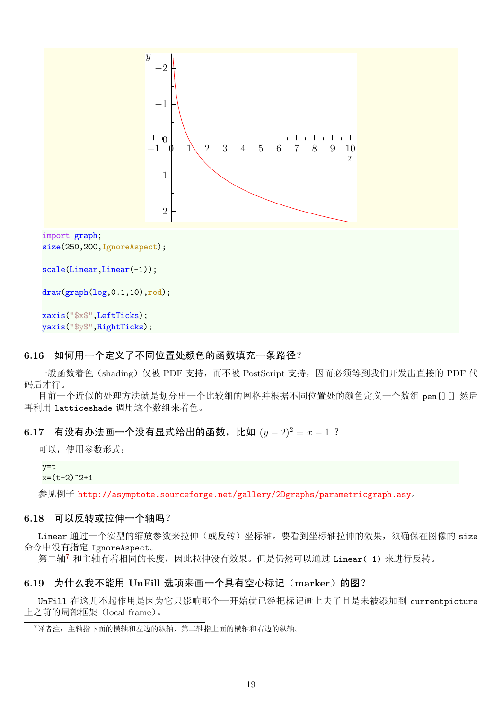

```
scale(Linear,Linear(-1));
```
 $draw(graph(log, 0.1, 10), red);$ 

```
xaxis("$x$",LeftTicks);
yaxis("$y$",RightTicks);
```
#### **6.16** 如何用一个定义了不同位置处颜色的函数填充一条路径?

一般函数着色(shading)仅被 PDF 支持,而不被 PostScript 支持,因而必须等到我们开发出直接的 PDF 代 码后才行。

目前一个近似的处理方法就是划分出一个比较细的网格并根据不同位置处的颜色定义一个数组 pen[][] 然后 再利用 latticeshade 调用这个数组来着色。

# 6.17 有没有办法画一个没有显式给出的函数, 比如  $(y-2)^2 = x - 1$  ?

可以,使用参数形式:

#### y=t  $x=(t-2)^2+1$

参见例子 http://asymptote.sourceforge.net/gallery/2Dgraphs/parametricgraph.asy。

#### **6.18** 可以反转或拉伸一个轴吗?

Linear [通过一个实型的缩放参数来拉伸\(或反转\)坐标轴。要看到坐标轴拉伸的效果,须确保](http://asymptote.sourceforge.net/gallery/2Dgraphs/parametricgraph.asy)在图像的 size 命令中没有指定 IgnoreAspect。

第二轴<sup>7</sup> 和主轴有着相同的长度,因此拉伸没有效果。但是仍然可以通过 Linear(-1) 来进行反转。

## 6.19 为什么我不能用 UnFill 选项来画一个具有空心标记 (marker) 的图?

UnFil[l](#page-18-0) 在这儿不起作用是因为它只影响那个一开始就已经把标记画上去了且是未被添加到 currentpicture 上之前的局部框架(local frame)。

<span id="page-18-0"></span><sup>7</sup>译者注:主轴指下面的横轴和左边的纵轴,第二轴指上面的横轴和右边的纵轴。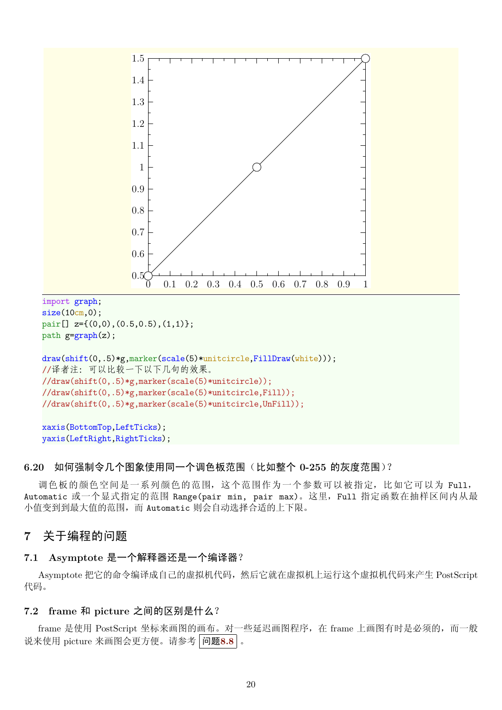

### **6.20** 如何强制令几个图象使用同一个调色板范围(比如整个 **0-255** 的灰度范围)?

调色板的颜色空间是一系列颜色的范围,这个范围作为一个参数可以被指定,比如它可以为 Full, Automatic 或一个显式指定的范围 Range(pair min, pair max)。这里,Full 指定函数在抽样区间内从最 小值变到到最大值的范围,而 Automatic 则会自动选择合适的上下限。

# **7** 关于编程的问题

#### **7.1 Asymptote** 是一个解释器还是一个编译器?

Asymptote 把它的命令编译成自己的虚拟机代码,然后它就在虚拟机上运行这个虚拟机代码来产生 PostScript 代码。

## **7.2 frame** 和 **picture** 之间的区别是什么?

frame 是使用 PostScript 坐标来画图的画布。对一些延迟画图程序,在 frame 上画图有时是必须的,而一般 说来使用 picture 来画图会更方便。请参考 问题**8.8** 。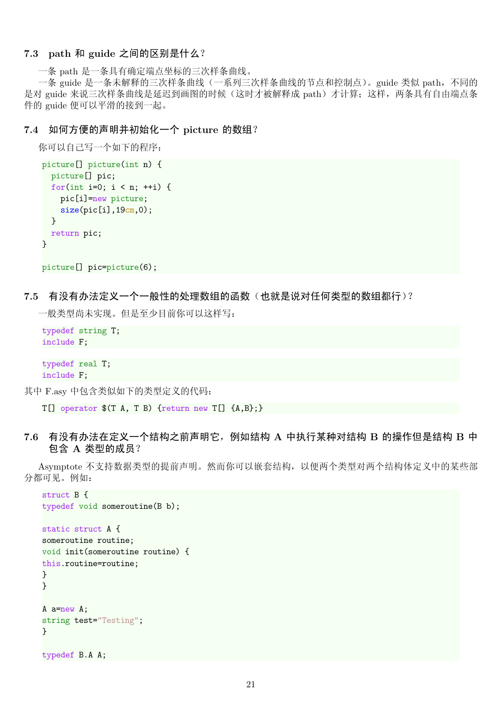### **7.3 path** 和 **guide** 之间的区别是什么?

一条 path 是一条具有确定端点坐标的三次样条曲线。

一条 guide 是一条未解释的三次样条曲线(一系列三次样条曲线的节点和控制点)。guide 类似 path, 不同的 是对 guide 来说三次样条曲线是延迟到画图的时候(这时才被解释成 path)才计算;这样,两条具有自由端点条 件的 guide 便可以平滑的接到一起。

#### **7.4** 如何方便的声明并初始化一个 **picture** 的数组?

```
你可以自己写一个如下的程序:
```

```
picture[] picture(int n) {
 picture[] pic;
 for(int i=0; i < n; ++i) {
    pic[i]=new picture;
    size(pic[i],19cm,0);
 }
 return pic;
}
```

```
picture[] pic=picture(6);
```
### **7.5** 有没有办法定义一个一般性的处理数组的函数(也就是说对任何类型的数组都行)?

一般类型尚未实现。但是至少目前你可以这样写:

```
typedef string T;
include F;
```

```
typedef real T;
include F;
```
其中 F.asy 中包含类似如下的类型定义的代码:

T[] operator \$(T A, T B) {return new T[] {A,B};}

**7.6** 有没有办法在定义一个结构之前声明它,例如结构 **A** 中执行某种对结构 **B** 的操作但是结构 **B** 中 包含 **A** 类型的成员?

Asymptote 不支持数据类型的提前声明。然而你可以嵌套结构,以便两个类型对两个结构体定义中的某些部 分都可见。例如:

```
struct B {
typedef void someroutine(B b);
static struct A {
someroutine routine;
void init(someroutine routine) {
this.routine=routine;
}
}
A a=new A;
string test="Testing";
}
```
typedef B.A A;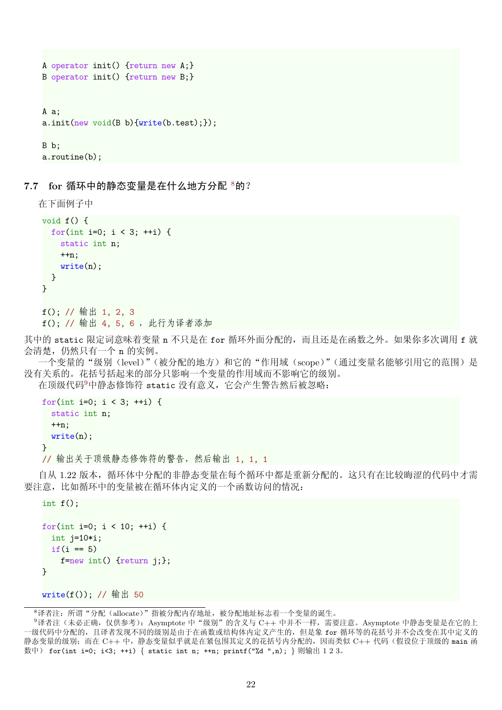```
A operator init() {return new A;}
B operator init() {return new B;}
A a;
a.init(new void(B b){write(b.test);});
B b;
a.routine(b);
```
**7.7 for** 循环中的静态变量是在什么地方分配 <sup>8</sup>的?

```
在下面例子中
void f() {
  for(int i=0; i < 3; ++i) {
    static int n;
    ++n;
    write(n);}
}
f(); // 输出 1, 2, 3
f(); // 输出 4, 5, 6 ,此行为译者添加
```
其中的 static 限定词意味着变量 n 不只是在 for 循环外面分配的, 而且还是在函数之外。如果你多次调用 f 就 会清楚,仍然只有一个 n 的实例。

一个变量的"级别(level)"(被分配的地方)和它的"作用域(scope)"(通过变量名能够引用它的范围)是 没有关系的。花括号括起来的部分只影响一个变量的作用域而不影响它的级别。

在顶级代码<sup>9</sup>中静态修饰符 static 没有意义,它会产生警告然后被忽略:

```
for(int i=0; i < 3; ++i) {
 static int n;
 ++n:
 write(n);
}
// 输出关于顶级静态修饰符的警告,然后输出 1, 1, 1
```
自从 1.22 版本,循环体中分配的非静态变量在每个循环中都是重新分配的。这只有在比较晦涩的代码中才需 要注意,比如循环中的变量被在循环体内定义的一个函数访问的情况:

```
int f();
```

```
for(int i=0; i < 10; ++i) {
 int j=10*i;
 if(i == 5)f=new int() {return j;};
}
```
write(f()); // 输出 50

<sup>8</sup>译者注:所谓"分配(allocate)"指被分配内存地址,被分配地址标志着一个变量的诞生。

 $9$ 译者注(未必正确,仅供参考): Asymptote 中"级别"的含义与 C++ 中并不一样,需要注意。Asymptote 中静态变量是在它的上 一级代码中分配的,且译者发现不同的级别是由于在函数或结构体内定义产生的,但是象 for 循环等的花括号并不会改变在其中定义的 静态变量的级别;而在 C++ 中,静态变量似乎就是在紧包围其定义的花括号内分配的,因而类似 C++ 代码 (假设位于顶级的 main 函 数中) for(int i=0; i<3; ++i) *{* static int n; ++n; printf("%d ",n); *}* 则输出 1 2 3。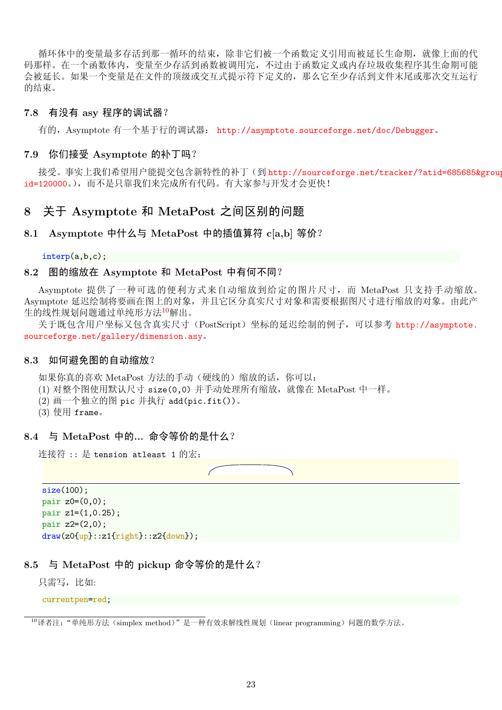循环体中的变量最多存活到那一循环的结束,除非它们被一个函数定义引用而被延长生命期,就像上面的代 码那样。在一个函数体内,变量至少存活到函数被调用完,不过由于函数定义或内存垃圾收集程序其生命期可能 会被延长。如果一个变量是在文件的顶级或交互式提示符下定义的,那么它至少存活到文件末尾或那次交互运行 的结束。

#### **7.8** 有没有 **asy** 程序的调试器?

有的,Asymptote 有一个基于行的调试器: http://asymptote.sourceforge.net/doc/Debugger。

#### **7.9** 你们接受 **Asymptote** 的补丁吗?

接受。事实上我们希望用户能提交包含新特性的补丁(到 [http://sourceforge.net/tracker/?ati](http://asymptote.sourceforge.net/doc/Debugger)d=685685&group\_ id=120000。),而不是只靠我们来完成所有代码。有大家参与开发才会更快!

# **8** 关于 **Asymptote** 和 **MetaPost** 之间区[别的问题](http://sourceforge.net/tracker/?atid=685685&group_id=120000)

### **[8.1 Asym](http://sourceforge.net/tracker/?atid=685685&group_id=120000)ptote** 中什么与 **MetaPost** 中的插值算符 **c[a,b]** 等价?

interp(a,b,c);

#### **8.2** 图的缩放在 **Asymptote** 和 **MetaPost** 中有何不同?

Asymptote 提供了一种可选的便利方式来自动缩放到给定的图片尺寸,而 MetaPost 只支持手动缩放。 Asymptote 延迟绘制将要画在图上的对象,并且它区分真实尺寸对象和需要根据图尺寸进行缩放的对象。由此产 生的线性规划问题通过单纯形方法10解出。

关于既包含用户坐标又包含真实尺寸(PostScript)坐标的延迟绘制的例子,可以参考 http://asymptote. sourceforge.net/gallery/dimension.asy。

#### **8.3** 如何避免图的自动缩放?

[如果你真的喜欢](http://asymptote.sourceforge.net/gallery/dimension.asy) MetaPost 方法的手动(硬线的)缩放的话,你可以:

- (1) 对整个图使用默认尺寸 size(0,0) 并手动处理所有缩放,就像在 MetaPost 中一样。
- (2) 画一个独立的图 pic 并执行 add(pic.fit())。
- $(3)$  使用 frame.

#### **8.4** 与 **MetaPost** 中的**...** 命令等价的是什么?

连接符 :: 是 tension atleast 1 的宏:

size(100); pair  $z0=(0,0);$ pair z1=(1,0.25);  $pair z2=(2,0);$ draw(z0{up}::z1{right}::z2{down});

#### **8.5** 与 **MetaPost** 中的 **pickup** 命令等价的是什么?

只需写,比如:

currentpen=red;

<sup>&</sup>lt;sup>10</sup>译者注: "单纯形方法(simplex method)"是一种有效求解线性规划(linear programming)问题的数学方法。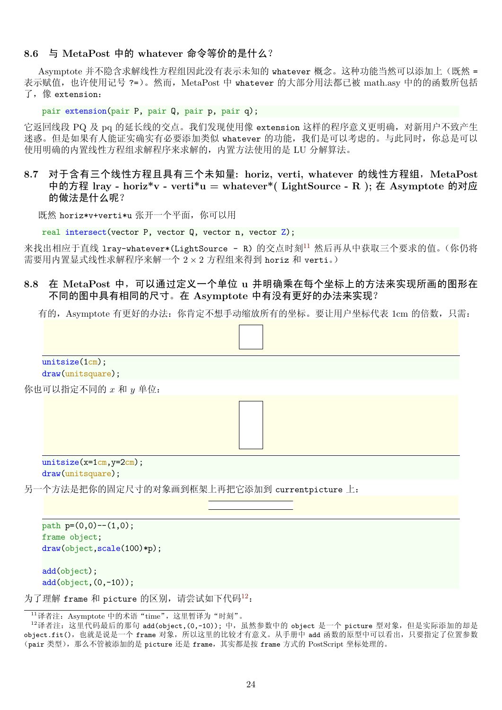### **8.6** 与 **MetaPost** 中的 **whatever** 命令等价的是什么?

Asymptote 并不隐含求解线性方程组因此没有表示未知的 whatever 概念。这种功能当然可以添加上(既然 = 表示赋值, 也许使用记号 ?=)。然而, MetaPost 中 whatever 的大部分用法都已被 math.asy 中的的函数所包括 了,像 extension:

pair extension(pair P, pair Q, pair p, pair q);

它返回线段 PQ 及 pq 的延长线的交点。我们发现使用像 extension 这样的程序意义更明确, 对新用户不致产生 迷惑。但是如果有人能证实确实有必要添加类似 whatever 的功能,我们是可以考虑的。与此同时,你总是可以 使用明确的内置线性方程组求解程序来求解的,内置方法使用的是 LU 分解算法。

**8.7** 对于含有三个线性方程且具有三个未知量**: horiz, verti, whatever** 的线性方程组,**MetaPost** 中的方程 **lray - horiz\*v - verti\*u = whatever\*( LightSource - R );** 在 **Asymptote** 的对应 的做法是什么呢?

既然 horiz\*v+verti\*u 张开一个平面,你可以用

real intersect(vector P, vector Q, vector n, vector Z);

来找出相应于直线 lray-whatever\*(LightSource - R) 的交点时刻11 然后再从中获取三个要求的值。(你仍将 需要用内置显式线性求解程序来解一个 2 *×* 2 方程组来得到 horiz 和 verti。)

### **8.8** 在 **MetaPost** 中,可以通过定义一个单位 **u** 并明确乘[在每](#page-23-0)个坐标上的方法来实现所画的图形在 不同的图中具有相同的尺寸。在 **Asymptote** 中有没有更好的办法来实现?

有的, Asymptote 有更好的办法: 你肯定不想手动缩放所有的坐标。要让用户坐标代表 1cm 的倍数, 只需:



<span id="page-23-1"></span><span id="page-23-0"></span><sup>&</sup>lt;sup>12</sup>译者注: 这里代码最后的那句 add(object,(0,-10)); 中, 虽然参数中的 object 是一个 picture 型对象, 但是实际添加的却是 object.fit(),也就是说是一个 frame 对象,所以这里的比较[才有](#page-23-1)意义。从手册中 add 函数的原型中可以看出,只要指定了位置参数 (pair 类型), 那么不管被添加的是 picture 还是 frame, 其实都是按 frame 方式的 PostScript 坐标处理的。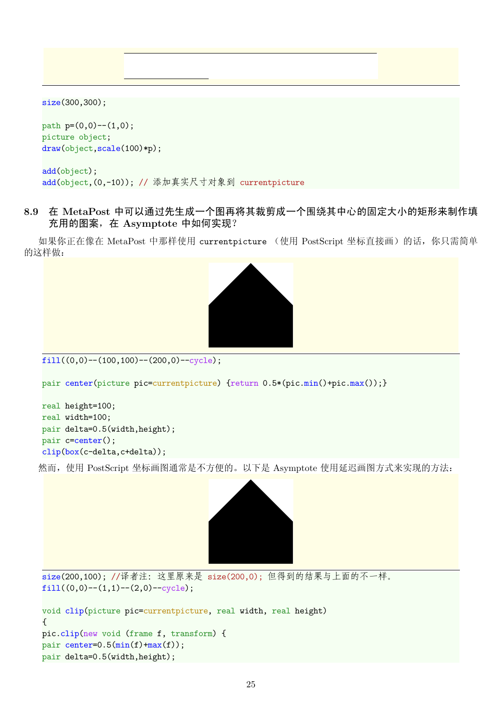size(300,300);

path  $p=(0,0)-(1,0);$ picture object; draw(object,scale(100)\*p);

```
add(object);
add(object,(0,-10)); // 添加真实尺寸对象到 currentpicture
```
**8.9** 在 **MetaPost** 中可以通过先生成一个图再将其裁剪成一个围绕其中心的固定大小的矩形来制作填 充用的图案,在 **Asymptote** 中如何实现?

如果你正在像在 MetaPost 中那样使用 currentpicture (使用 PostScript 坐标直接画)的话,你只需简单 的这样做:



```
fill((0,0)-(100,100)-(200,0)-\text{cycle});
```

```
pair center(picture pic=currentpicture) {return 0.5*(pic.min() + pic.max());}
```

```
real height=100;
real width=100;
pair delta=0.5(width,height);
pair c=center();
clip(box(c-delta,c+delta));
```
然而,使用 PostScript 坐标画图通常是不方便的。以下是 Asymptote 使用延迟画图方式来实现的方法:



```
size(200,100); //译者注:这里原来是 size(200,0); 但得到的结果与上面的不一样。
fill((0,0)-(1,1)-(2,0)-cycle);
```

```
void clip(picture pic=currentpicture, real width, real height)
{
pic.clip(new void (frame f, transform) {
pair center=0.5(\text{min}(f)+\text{max}(f));pair delta=0.5(width,height);
```